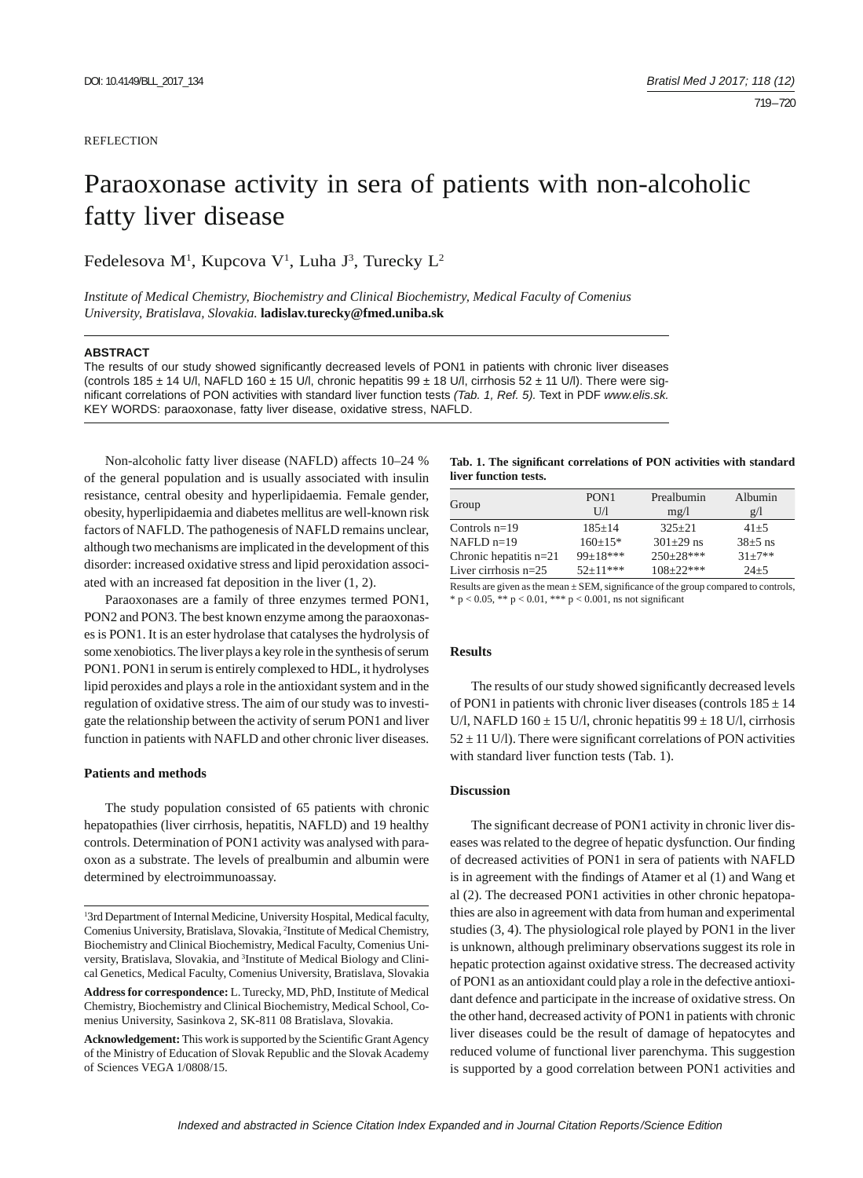#### **REFLECTION**

# Paraoxonase activity in sera of patients with non-alcoholic fatty liver disease

## Fedelesova M<sup>1</sup>, Kupcova V<sup>1</sup>, Luha J<sup>3</sup>, Turecky L<sup>2</sup>

*Institute of Medical Chemistry, Biochemistry and Clinical Biochemistry, Medical Faculty of Comenius University, Bratislava, Slovakia.* **ladislav.turecky@fmed.uniba.sk**

#### **ABSTRACT**

The results of our study showed significantly decreased levels of PON1 in patients with chronic liver diseases (controls 185  $\pm$  14 U/l, NAFLD 160  $\pm$  15 U/l, chronic hepatitis 99  $\pm$  18 U/l, cirrhosis 52  $\pm$  11 U/l). There were signifi cant correlations of PON activities with standard liver function tests *(Tab. 1, Ref. 5).* Text in PDF *www.elis.sk.* KEY WORDS: paraoxonase, fatty liver disease, oxidative stress, NAFLD.

Non-alcoholic fatty liver disease (NAFLD) affects 10–24 % of the general population and is usually associated with insulin resistance, central obesity and hyperlipidaemia. Female gender, obesity, hyperlipidaemia and diabetes mellitus are well-known risk factors of NAFLD. The pathogenesis of NAFLD remains unclear, although two mechanisms are implicated in the development of this disorder: increased oxidative stress and lipid peroxidation associated with an increased fat deposition in the liver (1, 2).

Paraoxonases are a family of three enzymes termed PON1, PON2 and PON3. The best known enzyme among the paraoxonases is PON1. It is an ester hydrolase that catalyses the hydrolysis of some xenobiotics. The liver plays a key role in the synthesis of serum PON1. PON1 in serum is entirely complexed to HDL, it hydrolyses lipid peroxides and plays a role in the antioxidant system and in the regulation of oxidative stress. The aim of our study was to investigate the relationship between the activity of serum PON1 and liver function in patients with NAFLD and other chronic liver diseases.

#### **Patients and methods**

The study population consisted of 65 patients with chronic hepatopathies (liver cirrhosis, hepatitis, NAFLD) and 19 healthy controls. Determination of PON1 activity was analysed with paraoxon as a substrate. The levels of prealbumin and albumin were determined by electroimmunoassay.

Tab. 1. The significant correlations of PON activities with standard **liver function tests.**

| Group                    | PON <sub>1</sub><br>UЛ | Prealbumin<br>mg/1 | Albumin<br>g/1 |
|--------------------------|------------------------|--------------------|----------------|
| Controls $n=19$          | $185 + 14$             | $325 + 21$         | $41 + 5$       |
| $NAFLD$ n=19             | $160+15*$              | $301 \pm 29$ ns    | $38\pm5$ ns    |
| Chronic hepatitis $n=21$ | $99+18***$             | $250+28***$        | $31 + 7**$     |
| Liver cirrhosis $n=25$   | $52+11***$             | $108 + 22$ ***     | $24 + 5$       |
|                          |                        |                    |                |

Results are given as the mean  $\pm$  SEM, significance of the group compared to controls, \*  $p < 0.05$ , \*\*  $p < 0.01$ , \*\*\*  $p < 0.001$ , ns not significant

#### **Results**

The results of our study showed significantly decreased levels of PON1 in patients with chronic liver diseases (controls  $185 \pm 14$ ) U/l, NAFLD 160  $\pm$  15 U/l, chronic hepatitis 99  $\pm$  18 U/l, cirrhosis  $52 \pm 11$  U/l). There were significant correlations of PON activities with standard liver function tests (Tab. 1).

#### **Discussion**

The significant decrease of PON1 activity in chronic liver diseases was related to the degree of hepatic dysfunction. Our finding of decreased activities of PON1 in sera of patients with NAFLD is in agreement with the findings of Atamer et al (1) and Wang et al (2). The decreased PON1 activities in other chronic hepatopathies are also in agreement with data from human and experimental studies (3, 4). The physiological role played by PON1 in the liver is unknown, although preliminary observations suggest its role in hepatic protection against oxidative stress. The decreased activity of PON1 as an antioxidant could play a role in the defective antioxidant defence and participate in the increase of oxidative stress. On the other hand, decreased activity of PON1 in patients with chronic liver diseases could be the result of damage of hepatocytes and reduced volume of functional liver parenchyma. This suggestion is supported by a good correlation between PON1 activities and

<sup>&</sup>lt;sup>1</sup>3rd Department of Internal Medicine, University Hospital, Medical faculty, Comenius University, Bratislava, Slovakia, 2 Institute of Medical Chemistry, Biochemistry and Clinical Biochemistry, Medical Faculty, Comenius University, Bratislava, Slovakia, and <sup>3</sup>Institute of Medical Biology and Clinical Genetics, Medical Faculty, Comenius University, Bratislava, Slovakia

**Address for correspondence:** L. Turecky, MD, PhD, Institute of Medical Chemistry, Biochemistry and Clinical Biochemistry, Medical School, Comenius University, Sasinkova 2, SK-811 08 Bratislava, Slovakia.

Acknowledgement: This work is supported by the Scientific Grant Agency of the Ministry of Education of Slovak Republic and the Slovak Academy of Sciences VEGA 1/0808/15.